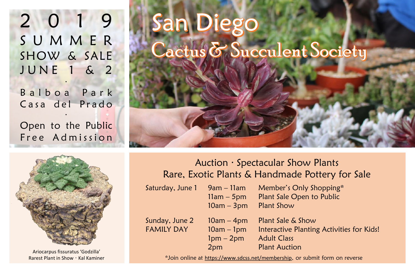2 0 1 9 S U M M E R SHOW & SALE J U N E 1 & 2

Balboa Park Casa del Prado

∙

Open to the Public Free Admission

∙



Ariocarpus fissuratus 'Godzilla' Rarest Plant in Show ∙ Kal Kaminer

## anl Diego  $\mathcal{L}$ actus  $\mathcal{\breve{\sigma}}$  Succulent Society

Auction ∙ Spectacular Show Plants Rare, Exotic Plants & Handmade Pottery for Sale

Saturday, June 1

| $9$ am – 11am           | Member's Only Shopping*                   |
|-------------------------|-------------------------------------------|
|                         | $11$ am $-5$ pm Plant Sale Open to Public |
| $10am - 3pm$ Plant Show |                                           |

Sunday, June  $2 \t 10$ am – 4pm Plant Sale & Show FAMILY DAY 10am – 1pm Interactive Planting Activities for Kids! 1pm – 2pm Adult Class 2pm Plant Auction

\*Join online at <https://www.sdcss.net/membership>, or submit form on reverse